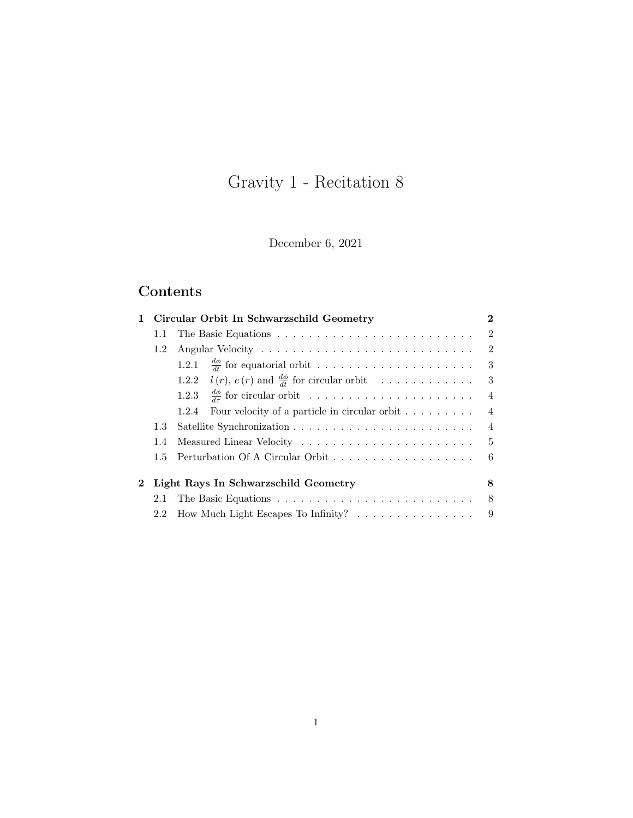# Gravity 1 - Recitation 8

December 6, 2021

## Contents

|              |               | Circular Orbit In Schwarzschild Geometry                                      | $\bf{2}$       |
|--------------|---------------|-------------------------------------------------------------------------------|----------------|
|              | 1.1           |                                                                               | $\overline{2}$ |
|              | 1.2           |                                                                               | 2              |
|              |               | 1.2.1                                                                         | 3              |
|              |               | 1.2.2 $l(r)$ , $e(r)$ and $\frac{d\phi}{dt}$ for circular orbit               | 3              |
|              |               |                                                                               | $\overline{4}$ |
|              |               | Four velocity of a particle in circular orbit $\ldots \ldots \ldots$<br>1.2.4 | $\overline{4}$ |
|              | 1.3           |                                                                               | $\overline{4}$ |
|              | 1.4           |                                                                               | -5             |
|              | $1.5^{\circ}$ |                                                                               | 6              |
| $\mathbf{2}$ |               | Light Rays In Schwarzschild Geometry                                          | 8              |
|              | 2.1           |                                                                               | 8              |
|              | 2.2           | How Much Light Escapes To Infinity? $\ldots \ldots \ldots \ldots \ldots$      | 9              |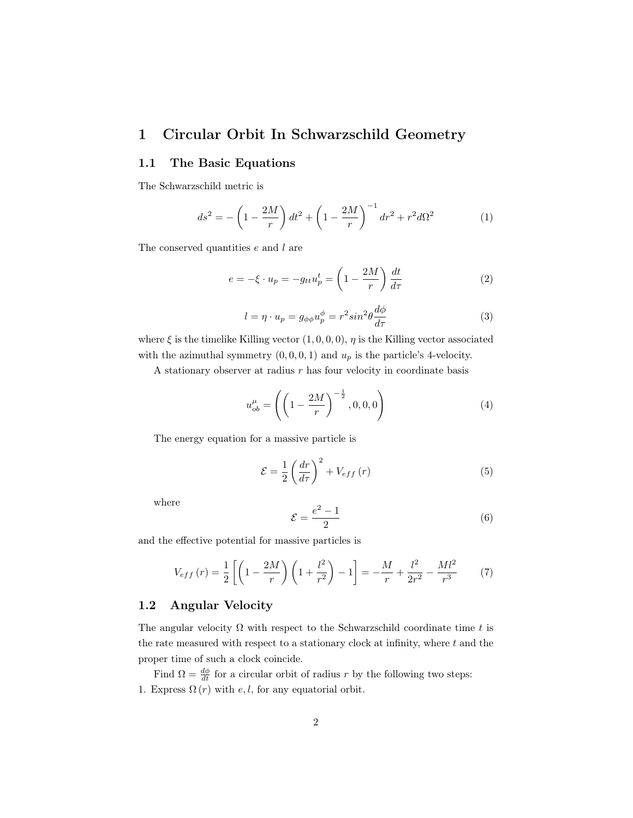## <span id="page-1-0"></span>1 Circular Orbit In Schwarzschild Geometry

#### <span id="page-1-1"></span>1.1 The Basic Equations

The Schwarzschild metric is

<span id="page-1-9"></span>
$$
ds^{2} = -\left(1 - \frac{2M}{r}\right)dt^{2} + \left(1 - \frac{2M}{r}\right)^{-1}dr^{2} + r^{2}d\Omega^{2}
$$
 (1)

The conserved quantities  $e$  and  $l$  are

<span id="page-1-3"></span>
$$
e = -\xi \cdot u_p = -g_{tt}u_p^t = \left(1 - \frac{2M}{r}\right)\frac{dt}{d\tau}
$$
 (2)

<span id="page-1-4"></span>
$$
l = \eta \cdot u_p = g_{\phi\phi} u_p^{\phi} = r^2 \sin^2 \theta \frac{d\phi}{d\tau}
$$
 (3)

where  $\xi$  is the timelike Killing vector  $(1, 0, 0, 0)$ ,  $\eta$  is the Killing vector associated with the azimuthal symmetry  $(0, 0, 0, 1)$  and  $u_p$  is the particle's 4-velocity.

A stationary observer at radius  $r$  has four velocity in coordinate basis

<span id="page-1-8"></span>
$$
u_{ob}^{\mu} = \left( \left( 1 - \frac{2M}{r} \right)^{-\frac{1}{2}}, 0, 0, 0 \right) \tag{4}
$$

The energy equation for a massive particle is

<span id="page-1-6"></span>
$$
\mathcal{E} = \frac{1}{2} \left( \frac{dr}{d\tau} \right)^2 + V_{eff} \left( r \right) \tag{5}
$$

where

<span id="page-1-7"></span>
$$
\mathcal{E} = \frac{e^2 - 1}{2} \tag{6}
$$

and the effective potential for massive particles is

<span id="page-1-5"></span>
$$
V_{eff}(r) = \frac{1}{2} \left[ \left( 1 - \frac{2M}{r} \right) \left( 1 + \frac{l^2}{r^2} \right) - 1 \right] = -\frac{M}{r} + \frac{l^2}{2r^2} - \frac{Ml^2}{r^3} \tag{7}
$$

#### <span id="page-1-2"></span>1.2 Angular Velocity

The angular velocity  $\Omega$  with respect to the Schwarzschild coordinate time t is the rate measured with respect to a stationary clock at infinity, where  $t$  and the proper time of such a clock coincide.

Find  $\Omega = \frac{d\phi}{dt}$  for a circular orbit of radius r by the following two steps: 1. Express  $\Omega(r)$  with e, l, for any equatorial orbit.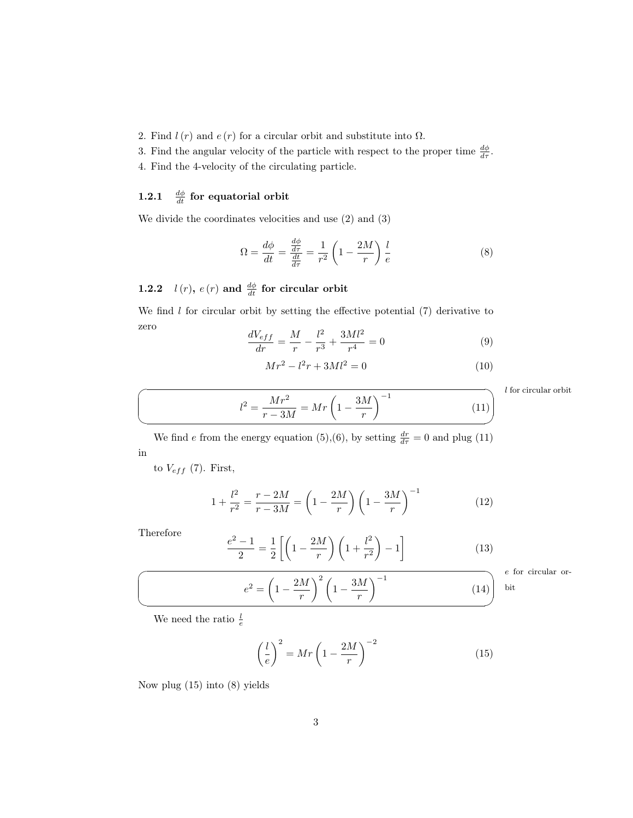2. Find  $l(r)$  and  $e(r)$  for a circular orbit and substitute into  $\Omega$ .

3. Find the angular velocity of the particle with respect to the proper time  $\frac{d\phi}{d\tau}$ .

4. Find the 4-velocity of the circulating particle.

## <span id="page-2-0"></span>1.2.1  $\frac{d\phi}{dt}$  for equatorial orbit

We divide the coordinates velocities and use [\(2\)](#page-1-3) and [\(3\)](#page-1-4)

<span id="page-2-4"></span>
$$
\Omega = \frac{d\phi}{dt} = \frac{\frac{d\phi}{dr}}{\frac{dt}{d\tau}} = \frac{1}{r^2} \left( 1 - \frac{2M}{r} \right) \frac{l}{e}
$$
\n(8)

## <span id="page-2-1"></span>1.2.2  $l(r)$ ,  $e(r)$  and  $\frac{d\phi}{dt}$  for circular orbit

 $e^2 - 1$  $\frac{-1}{2} = \frac{1}{2}$ 

<span id="page-2-5"></span> $e^2 = \left(1 - \frac{2M}{\mu}\right)$ 

r

We find  $l$  for circular orbit by setting the effective potential  $(7)$  derivative to zero

$$
\frac{dV_{eff}}{dr} = \frac{M}{r} - \frac{l^2}{r^3} + \frac{3Ml^2}{r^4} = 0\tag{9}
$$

<span id="page-2-2"></span>
$$
Mr^2 - l^2r + 3Ml^2 = 0\tag{10}
$$

 $l$  for circular orbit

$$
l^{2} = \frac{Mr^{2}}{r - 3M} = Mr \left(1 - \frac{3M}{r}\right)^{-1}
$$
 (11)

We find e from the energy equation [\(5\)](#page-1-6),[\(6\)](#page-1-7), by setting  $\frac{dr}{d\tau} = 0$  and plug [\(11\)](#page-2-2) in

to  $V_{eff}$  [\(7\)](#page-1-5). First,

$$
1 + \frac{l^2}{r^2} = \frac{r - 2M}{r - 3M} = \left(1 - \frac{2M}{r}\right) \left(1 - \frac{3M}{r}\right)^{-1}
$$
(12)

Therefore

 $\overline{a}$ 

✍

$$
\frac{1}{2}\left[\left(1-\frac{2M}{r}\right)\left(1+\frac{l^2}{r^2}\right)-1\right]
$$
\n
$$
\left(1-\frac{2M}{r}\right)^2\left(1-\frac{3M}{r^2}\right)^{-1}
$$
\n(14)

e for circular orbit

We need the ratio  $\frac{l}{e}$ 

<span id="page-2-3"></span>
$$
\left(\frac{l}{e}\right)^2 = Mr \left(1 - \frac{2M}{r}\right)^{-2} \tag{15}
$$

r

Now plug [\(15\)](#page-2-3) into [\(8\)](#page-2-4) yields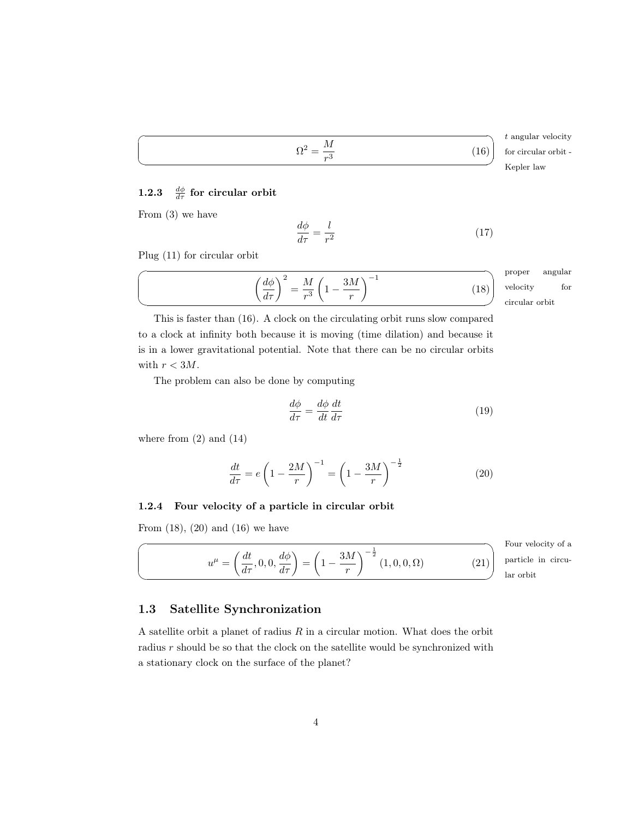<span id="page-3-3"></span>
$$
\Omega^2=\frac{M}{r^3}
$$

<span id="page-3-0"></span> $1.2.3$  $\frac{d\phi}{d\tau}$  for circular orbit

From [\(3\)](#page-1-4) we have

 $\overline{a}$ 

 $\searrow$ 

<span id="page-3-4"></span>
$$
\frac{d\phi}{d\tau} = \frac{l}{r^2} \tag{17}
$$

Plug [\(11\)](#page-2-2) for circular orbit

| $d\phi$<br><b>OTA</b><br>11L<br>$\Omega$<br>ΥÕ<br>$\sim$<br>$d\tau$ | ᅩ |
|---------------------------------------------------------------------|---|
|---------------------------------------------------------------------|---|

proper ✌ circular orbit angular velocity for

t angular velocity

for circular orbit -

Kepler law

(16)

This is faster than [\(16\)](#page-3-3). A clock on the circulating orbit runs slow compared to a clock at infinity both because it is moving (time dilation) and because it is in a lower gravitational potential. Note that there can be no circular orbits with  $r < 3M$ .

The problem can also be done by computing

$$
\frac{d\phi}{d\tau} = \frac{d\phi}{dt}\frac{dt}{d\tau} \tag{19}
$$

where from  $(2)$  and  $(14)$ 

 $\sqrt{2}$ 

✍

<span id="page-3-5"></span>
$$
\frac{dt}{d\tau} = e \left( 1 - \frac{2M}{r} \right)^{-1} = \left( 1 - \frac{3M}{r} \right)^{-\frac{1}{2}}
$$
\n(20)

#### <span id="page-3-1"></span>1.2.4 Four velocity of a particle in circular orbit

From  $(18)$ ,  $(20)$  and  $(16)$  we have

<span id="page-3-6"></span>
$$
u^{\mu} = \left(\frac{dt}{d\tau}, 0, 0, \frac{d\phi}{d\tau}\right) = \left(1 - \frac{3M}{r}\right)^{-\frac{1}{2}} (1, 0, 0, \Omega)
$$

Four velocity of a ✌ lar orbit particle in circu-

 $(21)$ 

#### <span id="page-3-2"></span>1.3 Satellite Synchronization

A satellite orbit a planet of radius  $R$  in a circular motion. What does the orbit radius  $r$  should be so that the clock on the satellite would be synchronized with a stationary clock on the surface of the planet?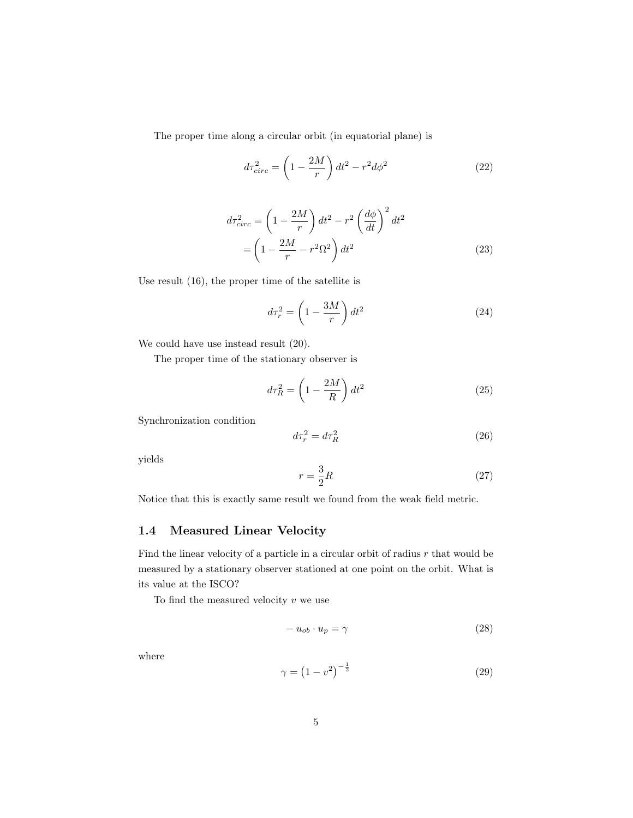The proper time along a circular orbit (in equatorial plane) is

$$
d\tau_{circ}^2 = \left(1 - \frac{2M}{r}\right)dt^2 - r^2d\phi^2\tag{22}
$$

$$
d\tau_{circ}^2 = \left(1 - \frac{2M}{r}\right)dt^2 - r^2 \left(\frac{d\phi}{dt}\right)^2 dt^2
$$

$$
= \left(1 - \frac{2M}{r} - r^2 \Omega^2\right)dt^2
$$
(23)

Use result [\(16\)](#page-3-3), the proper time of the satellite is

$$
d\tau_r^2 = \left(1 - \frac{3M}{r}\right)dt^2\tag{24}
$$

We could have use instead result [\(20\)](#page-3-5).

The proper time of the stationary observer is

$$
d\tau_R^2 = \left(1 - \frac{2M}{R}\right)dt^2\tag{25}
$$

Synchronization condition

$$
d\tau_r^2 = d\tau_R^2 \tag{26}
$$

yields

$$
r = \frac{3}{2}R\tag{27}
$$

Notice that this is exactly same result we found from the weak field metric.

## <span id="page-4-0"></span>1.4 Measured Linear Velocity

Find the linear velocity of a particle in a circular orbit of radius  $r$  that would be measured by a stationary observer stationed at one point on the orbit. What is its value at the ISCO?

To find the measured velocity  $\boldsymbol{v}$  we use

<span id="page-4-1"></span>
$$
-u_{ob} \cdot u_p = \gamma \tag{28}
$$

where

$$
\gamma = \left(1 - v^2\right)^{-\frac{1}{2}}\tag{29}
$$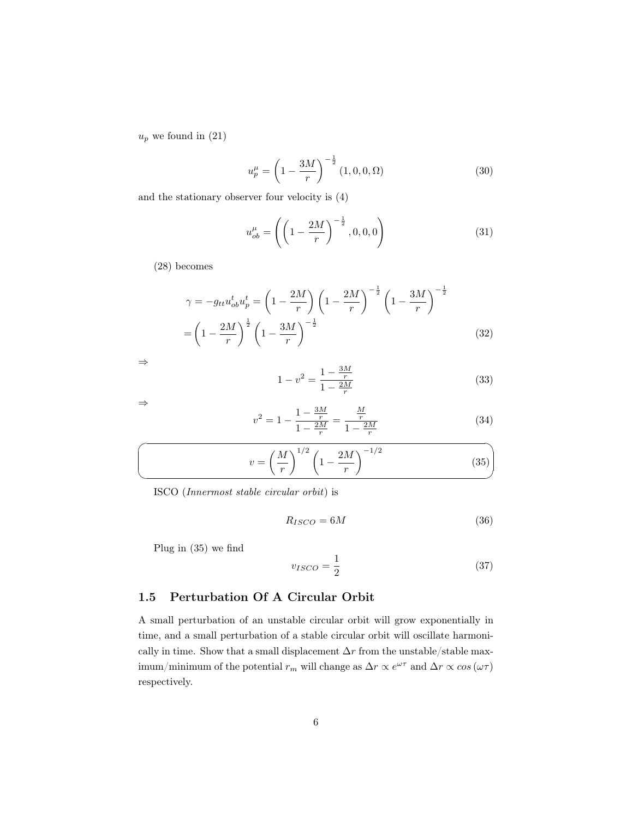$u_p$  we found in  $(21)$ 

$$
u_p^{\mu} = \left(1 - \frac{3M}{r}\right)^{-\frac{1}{2}} (1, 0, 0, \Omega)
$$
 (30)

and the stationary observer four velocity is [\(4\)](#page-1-8)

$$
u_{ob}^{\mu} = \left( \left( 1 - \frac{2M}{r} \right)^{-\frac{1}{2}}, 0, 0, 0 \right)
$$
 (31)

[\(28\)](#page-4-1) becomes

$$
\gamma = -g_{tt}u_{ob}^t u_p^t = \left(1 - \frac{2M}{r}\right) \left(1 - \frac{2M}{r}\right)^{-\frac{1}{2}} \left(1 - \frac{3M}{r}\right)^{-\frac{1}{2}}
$$

$$
= \left(1 - \frac{2M}{r}\right)^{\frac{1}{2}} \left(1 - \frac{3M}{r}\right)^{-\frac{1}{2}}
$$
(32)

⇒

$$
1 - v^2 = \frac{1 - \frac{3M}{r}}{1 - \frac{2M}{r}}
$$
\n(33)

⇒

<span id="page-5-1"></span>
$$
v^2 = 1 - \frac{1 - \frac{3M}{r}}{1 - \frac{2M}{r}} = \frac{\frac{M}{r}}{1 - \frac{2M}{r}}
$$
(34)

$$
v = \left(\frac{M}{r}\right)^{1/2} \left(1 - \frac{2M}{r}\right)^{-1/2}
$$
 (35)

ISCO (Innermost stable circular orbit) is

$$
R_{ISCO} = 6M\tag{36}
$$

Plug in [\(35\)](#page-5-1) we find

$$
v_{ISCO} = \frac{1}{2} \tag{37}
$$

### <span id="page-5-0"></span>1.5 Perturbation Of A Circular Orbit

A small perturbation of an unstable circular orbit will grow exponentially in time, and a small perturbation of a stable circular orbit will oscillate harmonically in time. Show that a small displacement  $\Delta r$  from the unstable/stable maximum/minimum of the potential  $r_m$  will change as  $\Delta r \propto e^{\omega \tau}$  and  $\Delta r \propto cos (\omega \tau)$ respectively.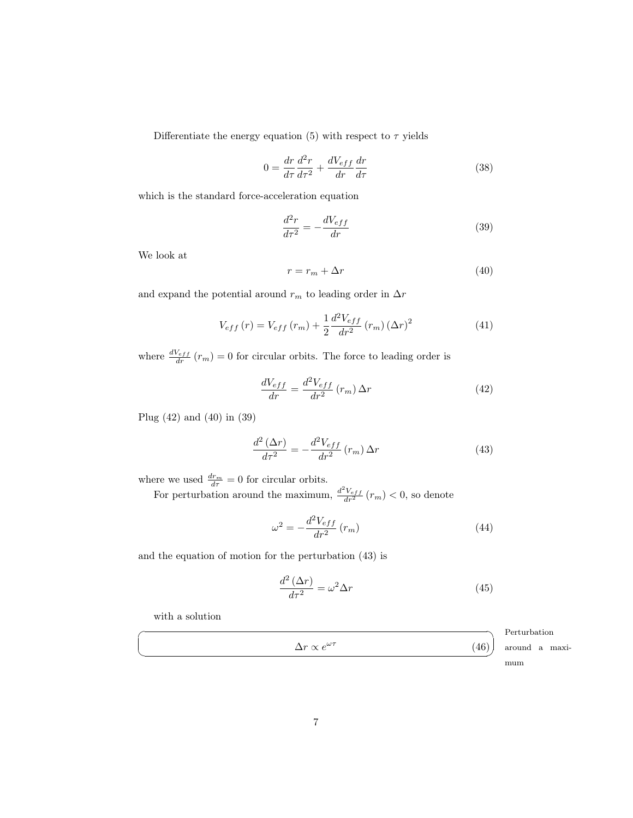Differentiate the energy equation [\(5\)](#page-1-6) with respect to  $\tau$  yields

$$
0 = \frac{dr}{d\tau}\frac{d^2r}{d\tau^2} + \frac{dV_{eff}}{dr}\frac{dr}{d\tau}
$$
\n(38)

which is the standard force-acceleration equation

<span id="page-6-2"></span>
$$
\frac{d^2r}{dr^2} = -\frac{dV_{eff}}{dr} \tag{39}
$$

We look at

<span id="page-6-1"></span>
$$
r = r_m + \Delta r \tag{40}
$$

and expand the potential around  $r_m$  to leading order in  $\Delta r$ 

$$
V_{eff}(r) = V_{eff}(r_m) + \frac{1}{2} \frac{d^2 V_{eff}}{dr^2} (r_m) (\Delta r)^2
$$
 (41)

where  $\frac{dV_{eff}}{dr}(r_m) = 0$  for circular orbits. The force to leading order is

<span id="page-6-0"></span>
$$
\frac{dV_{eff}}{dr} = \frac{d^2V_{eff}}{dr^2}(r_m)\,\Delta r\tag{42}
$$

Plug [\(42\)](#page-6-0) and [\(40\)](#page-6-1) in [\(39\)](#page-6-2)

<span id="page-6-3"></span>
$$
\frac{d^2\left(\Delta r\right)}{dr^2} = -\frac{d^2V_{eff}}{dr^2}\left(r_m\right)\Delta r\tag{43}
$$

where we used  $\frac{dr_m}{d\tau} = 0$  for circular orbits.

For perturbation around the maximum,  $\frac{d^2V_{eff}}{dr^2}(r_m) < 0$ , so denote

$$
\omega^2 = -\frac{d^2 V_{eff}}{dr^2} \left( r_m \right) \tag{44}
$$

and the equation of motion for the perturbation [\(43\)](#page-6-3) is

$$
\frac{d^2\left(\Delta r\right)}{d\tau^2} = \omega^2 \Delta r \tag{45}
$$

with a solution

|                                            | Perturbation   |
|--------------------------------------------|----------------|
| $\Delta r \propto e^{\omega \tau}$<br>(46) | around a maxi- |
|                                            | mum            |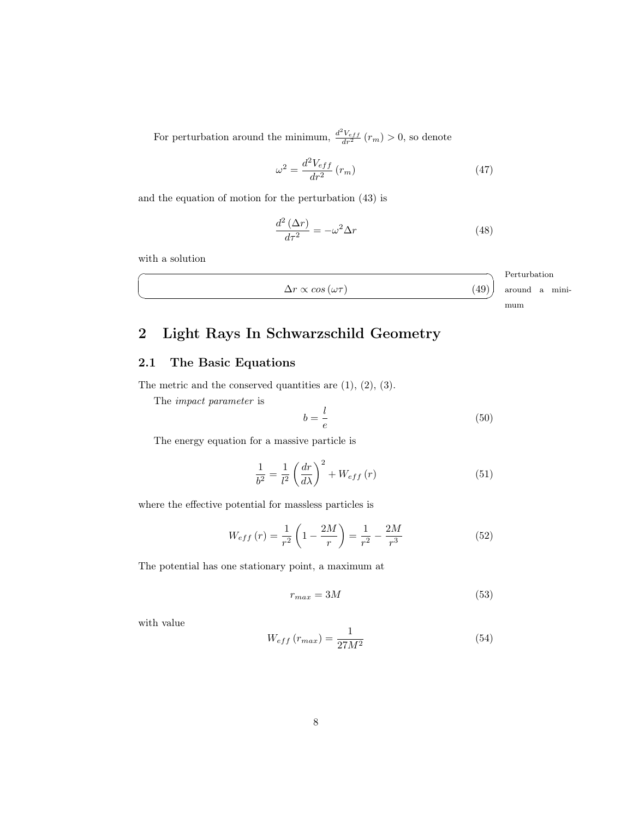For perturbation around the minimum,  $\frac{d^2V_{eff}}{dr^2}(r_m) > 0$ , so denote

$$
\omega^2 = \frac{d^2 V_{eff}}{dr^2} \left( r_m \right) \tag{47}
$$

and the equation of motion for the perturbation [\(43\)](#page-6-3) is

$$
\frac{d^2\left(\Delta r\right)}{d\tau^2} = -\omega^2 \Delta r\tag{48}
$$

with a solution

☛

 $\searrow$ 

$$
\Delta r \propto \cos(\omega \tau) \tag{49}
$$
 around a mini-

Perturbation mum

## <span id="page-7-0"></span>2 Light Rays In Schwarzschild Geometry

#### <span id="page-7-1"></span>2.1 The Basic Equations

The metric and the conserved quantities are  $(1), (2), (3)$  $(1), (2), (3)$  $(1), (2), (3)$  $(1), (2), (3)$  $(1), (2), (3)$ .

The impact parameter is

$$
b = \frac{l}{e} \tag{50}
$$

The energy equation for a massive particle is

<span id="page-7-2"></span>
$$
\frac{1}{b^2} = \frac{1}{l^2} \left(\frac{dr}{d\lambda}\right)^2 + W_{eff}(r) \tag{51}
$$

where the effective potential for massless particles is

<span id="page-7-3"></span>
$$
W_{eff}(r) = \frac{1}{r^2} \left( 1 - \frac{2M}{r} \right) = \frac{1}{r^2} - \frac{2M}{r^3}
$$
 (52)

The potential has one stationary point, a maximum at

$$
r_{max} = 3M\tag{53}
$$

with value

<span id="page-7-4"></span>
$$
W_{eff}\left(r_{max}\right) = \frac{1}{27M^2} \tag{54}
$$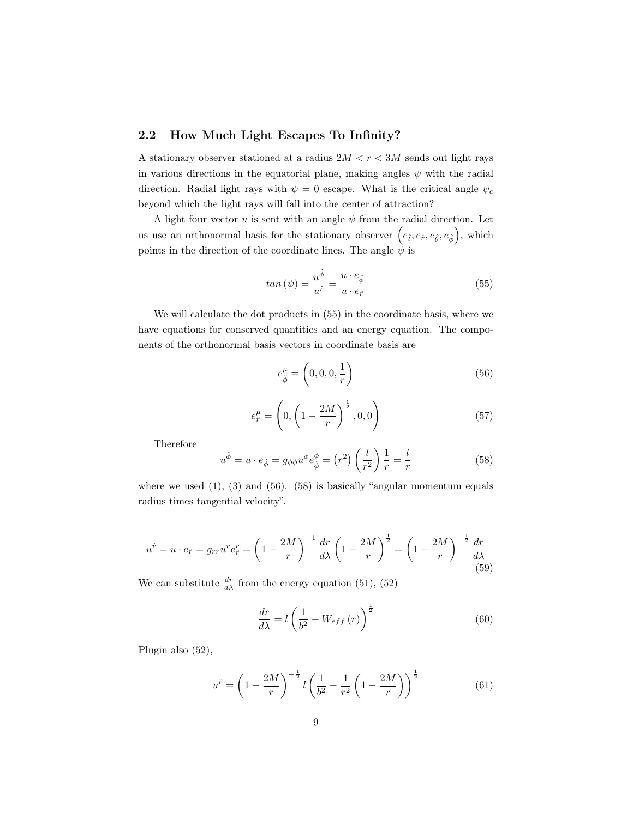#### <span id="page-8-0"></span>2.2 How Much Light Escapes To Infinity?

A stationary observer stationed at a radius  $2M < r < 3M$  sends out light rays in various directions in the equatorial plane, making angles  $\psi$  with the radial direction. Radial light rays with  $\psi = 0$  escape. What is the critical angle  $\psi_c$ beyond which the light rays will fall into the center of attraction?

A light four vector u is sent with an angle  $\psi$  from the radial direction. Let us use an orthonormal basis for the stationary observer  $(e_{\hat{t}}, e_{\hat{r}}, e_{\hat{\theta}}, e_{\hat{\phi}})$ , which points in the direction of the coordinate lines. The angle  $\psi$  is

<span id="page-8-1"></span>
$$
tan\left(\psi\right) = \frac{u^{\hat{\phi}}}{u^{\hat{r}}} = \frac{u \cdot e_{\hat{\phi}}}{u \cdot e_{\hat{r}}}
$$
\n
$$
(55)
$$

We will calculate the dot products in [\(55\)](#page-8-1) in the coordinate basis, where we have equations for conserved quantities and an energy equation. The components of the orthonormal basis vectors in coordinate basis are

<span id="page-8-2"></span>
$$
e_{\hat{\phi}}^{\mu} = \left(0, 0, 0, \frac{1}{r}\right) \tag{56}
$$

$$
e_{\hat{r}}^{\mu} = \left(0, \left(1 - \frac{2M}{r}\right)^{\frac{1}{2}}, 0, 0\right) \tag{57}
$$

Therefore

<span id="page-8-3"></span>
$$
u^{\hat{\phi}} = u \cdot e_{\hat{\phi}} = g_{\phi\phi} u^{\phi} e_{\hat{\phi}}^{\phi} = (r^2) \left(\frac{l}{r^2}\right) \frac{1}{r} = \frac{l}{r}
$$
 (58)

where we used  $(1)$ ,  $(3)$  and  $(56)$ .  $(58)$  is basically "angular momentum equals" radius times tangential velocity".

$$
u^{\hat{r}} = u \cdot e_{\hat{r}} = g_{rr} u^r e_{\hat{r}}^r = \left(1 - \frac{2M}{r}\right)^{-1} \frac{dr}{d\lambda} \left(1 - \frac{2M}{r}\right)^{\frac{1}{2}} = \left(1 - \frac{2M}{r}\right)^{-\frac{1}{2}} \frac{dr}{d\lambda}
$$
(59)

We can substitute  $\frac{dr}{d\lambda}$  from the energy equation [\(51\)](#page-7-2), [\(52\)](#page-7-3)

$$
\frac{dr}{d\lambda} = l \left( \frac{1}{b^2} - W_{eff} \left( r \right) \right)^{\frac{1}{2}}
$$
\n(60)

Plugin also [\(52\)](#page-7-3),

$$
u^{\hat{r}} = \left(1 - \frac{2M}{r}\right)^{-\frac{1}{2}} l \left(\frac{1}{b^2} - \frac{1}{r^2} \left(1 - \frac{2M}{r}\right)\right)^{\frac{1}{2}}
$$
(61)